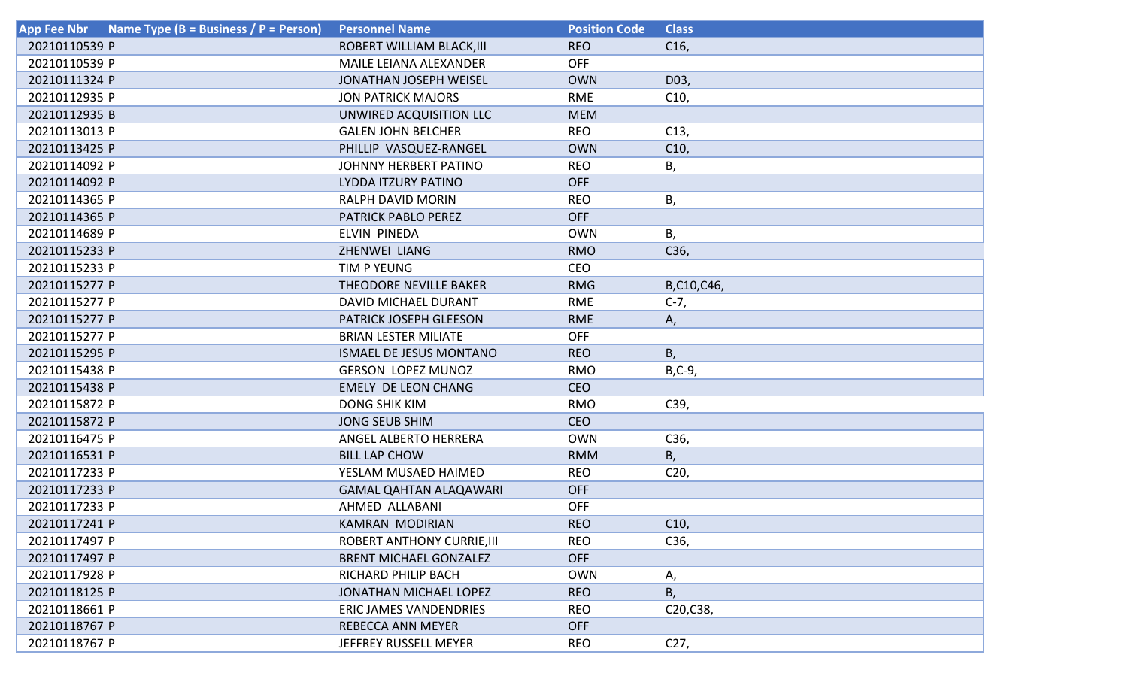| Name Type (B = Business / P = Person)<br><b>App Fee Nbr</b> | <b>Personnel Name</b>             | <b>Position Code</b> | <b>Class</b>    |
|-------------------------------------------------------------|-----------------------------------|----------------------|-----------------|
| 20210110539 P                                               | ROBERT WILLIAM BLACK, III         | <b>REO</b>           | C16,            |
| 20210110539 P                                               | <b>MAILE LEIANA ALEXANDER</b>     | <b>OFF</b>           |                 |
| 20210111324 P                                               | JONATHAN JOSEPH WEISEL            | <b>OWN</b>           | D03,            |
| 20210112935 P                                               | <b>JON PATRICK MAJORS</b>         | <b>RME</b>           | C10,            |
| 20210112935 B                                               | UNWIRED ACQUISITION LLC           | <b>MEM</b>           |                 |
| 20210113013 P                                               | <b>GALEN JOHN BELCHER</b>         | <b>REO</b>           | C13,            |
| 20210113425 P                                               | PHILLIP VASQUEZ-RANGEL            | <b>OWN</b>           | C10,            |
| 20210114092 P                                               | <b>JOHNNY HERBERT PATINO</b>      | <b>REO</b>           | В,              |
| 20210114092 P                                               | LYDDA ITZURY PATINO               | <b>OFF</b>           |                 |
| 20210114365 P                                               | <b>RALPH DAVID MORIN</b>          | <b>REO</b>           | В,              |
| 20210114365 P                                               | PATRICK PABLO PEREZ               | <b>OFF</b>           |                 |
| 20210114689 P                                               | ELVIN PINEDA                      | <b>OWN</b>           | В,              |
| 20210115233 P                                               | ZHENWEI LIANG                     | <b>RMO</b>           | C36,            |
| 20210115233 P                                               | TIM P YEUNG                       | <b>CEO</b>           |                 |
| 20210115277 P                                               | THEODORE NEVILLE BAKER            | <b>RMG</b>           | B,C10,C46,      |
| 20210115277 P                                               | DAVID MICHAEL DURANT              | <b>RME</b>           | $C-7,$          |
| 20210115277 P                                               | PATRICK JOSEPH GLEESON            | <b>RME</b>           | А,              |
| 20210115277 P                                               | <b>BRIAN LESTER MILIATE</b>       | <b>OFF</b>           |                 |
| 20210115295 P                                               | <b>ISMAEL DE JESUS MONTANO</b>    | <b>REO</b>           | В,              |
| 20210115438 P                                               | <b>GERSON LOPEZ MUNOZ</b>         | <b>RMO</b>           | $B, C-9,$       |
| 20210115438 P                                               | <b>EMELY DE LEON CHANG</b>        | <b>CEO</b>           |                 |
| 20210115872 P                                               | <b>DONG SHIK KIM</b>              | <b>RMO</b>           | C39,            |
| 20210115872 P                                               | <b>JONG SEUB SHIM</b>             | <b>CEO</b>           |                 |
| 20210116475 P                                               | ANGEL ALBERTO HERRERA             | <b>OWN</b>           | C36,            |
| 20210116531 P                                               | <b>BILL LAP CHOW</b>              | <b>RMM</b>           | Β,              |
| 20210117233 P                                               | YESLAM MUSAED HAIMED              | <b>REO</b>           | C <sub>20</sub> |
| 20210117233 P                                               | <b>GAMAL QAHTAN ALAQAWARI</b>     | <b>OFF</b>           |                 |
| 20210117233 P                                               | AHMED ALLABANI                    | <b>OFF</b>           |                 |
| 20210117241 P                                               | <b>KAMRAN MODIRIAN</b>            | <b>REO</b>           | C10,            |
| 20210117497 P                                               | <b>ROBERT ANTHONY CURRIE, III</b> | <b>REO</b>           | C36,            |
| 20210117497 P                                               | <b>BRENT MICHAEL GONZALEZ</b>     | <b>OFF</b>           |                 |
| 20210117928 P                                               | RICHARD PHILIP BACH               | <b>OWN</b>           | А,              |
| 20210118125 P                                               | <b>JONATHAN MICHAEL LOPEZ</b>     | <b>REO</b>           | В,              |
| 20210118661 P                                               | <b>ERIC JAMES VANDENDRIES</b>     | <b>REO</b>           | C20, C38,       |
| 20210118767 P                                               | <b>REBECCA ANN MEYER</b>          | <b>OFF</b>           |                 |
| 20210118767 P                                               | JEFFREY RUSSELL MEYER             | <b>REO</b>           | C27,            |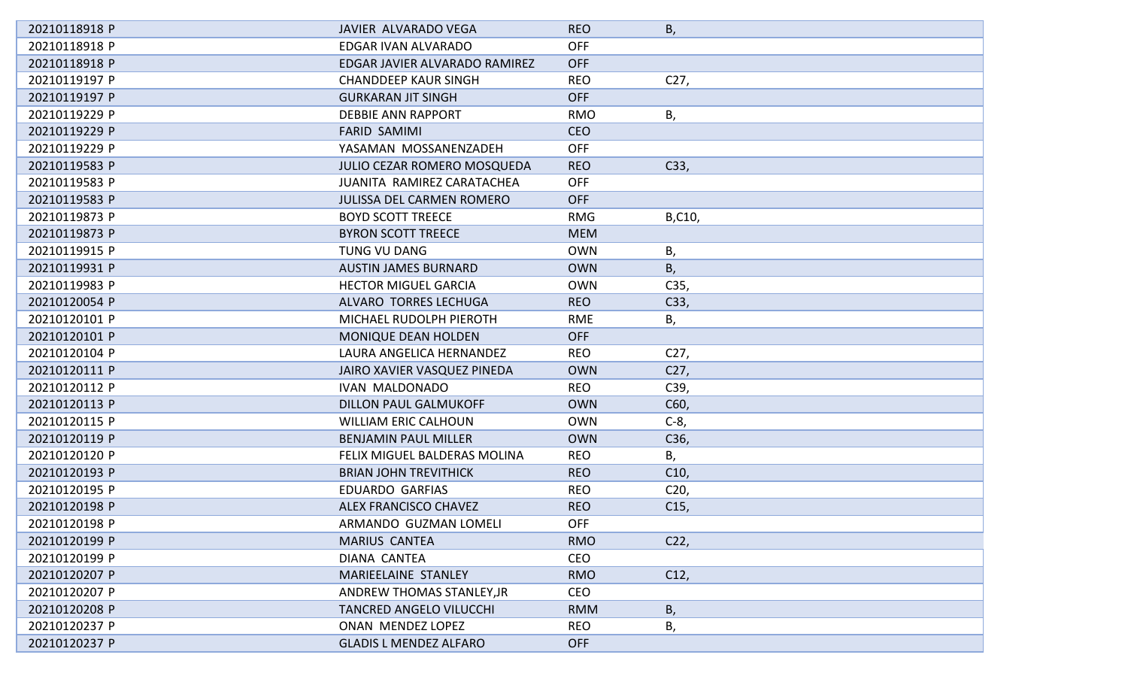| 20210118918 P | JAVIER ALVARADO VEGA             | <b>REO</b> | Β,              |
|---------------|----------------------------------|------------|-----------------|
| 20210118918 P | EDGAR IVAN ALVARADO              | <b>OFF</b> |                 |
| 20210118918 P | EDGAR JAVIER ALVARADO RAMIREZ    | <b>OFF</b> |                 |
| 20210119197 P | <b>CHANDDEEP KAUR SINGH</b>      | <b>REO</b> | C27,            |
| 20210119197 P | <b>GURKARAN JIT SINGH</b>        | <b>OFF</b> |                 |
| 20210119229 P | <b>DEBBIE ANN RAPPORT</b>        | <b>RMO</b> | Β,              |
| 20210119229 P | <b>FARID SAMIMI</b>              | <b>CEO</b> |                 |
| 20210119229 P | YASAMAN MOSSANENZADEH            | <b>OFF</b> |                 |
| 20210119583 P | JULIO CEZAR ROMERO MOSQUEDA      | <b>REO</b> | C33,            |
| 20210119583 P | JUANITA RAMIREZ CARATACHEA       | <b>OFF</b> |                 |
| 20210119583 P | <b>JULISSA DEL CARMEN ROMERO</b> | <b>OFF</b> |                 |
| 20210119873 P | <b>BOYD SCOTT TREECE</b>         | <b>RMG</b> | B,C10,          |
| 20210119873 P | <b>BYRON SCOTT TREECE</b>        | <b>MEM</b> |                 |
| 20210119915 P | <b>TUNG VU DANG</b>              | <b>OWN</b> | Β,              |
| 20210119931 P | <b>AUSTIN JAMES BURNARD</b>      | <b>OWN</b> | Β,              |
| 20210119983 P | <b>HECTOR MIGUEL GARCIA</b>      | <b>OWN</b> | C35,            |
| 20210120054 P | ALVARO TORRES LECHUGA            | <b>REO</b> | C33,            |
| 20210120101 P | MICHAEL RUDOLPH PIEROTH          | <b>RME</b> | Β,              |
| 20210120101 P | MONIQUE DEAN HOLDEN              | <b>OFF</b> |                 |
| 20210120104 P | LAURA ANGELICA HERNANDEZ         | <b>REO</b> | C <sub>27</sub> |
| 20210120111 P | JAIRO XAVIER VASQUEZ PINEDA      | <b>OWN</b> | C <sub>27</sub> |
| 20210120112 P | <b>IVAN MALDONADO</b>            | <b>REO</b> | C39,            |
| 20210120113 P | <b>DILLON PAUL GALMUKOFF</b>     | <b>OWN</b> | C60,            |
| 20210120115 P | <b>WILLIAM ERIC CALHOUN</b>      | <b>OWN</b> | $C-8,$          |
| 20210120119 P | <b>BENJAMIN PAUL MILLER</b>      | <b>OWN</b> | C36,            |
| 20210120120 P | FELIX MIGUEL BALDERAS MOLINA     | <b>REO</b> | Β,              |
| 20210120193 P | <b>BRIAN JOHN TREVITHICK</b>     | <b>REO</b> | C10,            |
| 20210120195 P | <b>EDUARDO GARFIAS</b>           | <b>REO</b> | C <sub>20</sub> |
| 20210120198 P | <b>ALEX FRANCISCO CHAVEZ</b>     | <b>REO</b> | C15,            |
| 20210120198 P | ARMANDO GUZMAN LOMELI            | <b>OFF</b> |                 |
| 20210120199 P | <b>MARIUS CANTEA</b>             | <b>RMO</b> | C <sub>2</sub>  |
| 20210120199 P | DIANA CANTEA                     | CEO        |                 |
| 20210120207 P | MARIEELAINE STANLEY              | <b>RMO</b> | C12,            |
| 20210120207 P | ANDREW THOMAS STANLEY, JR        | <b>CEO</b> |                 |
| 20210120208 P | <b>TANCRED ANGELO VILUCCHI</b>   | <b>RMM</b> | Β,              |
| 20210120237 P | ONAN MENDEZ LOPEZ                | <b>REO</b> | В,              |
| 20210120237 P | <b>GLADIS L MENDEZ ALFARO</b>    | <b>OFF</b> |                 |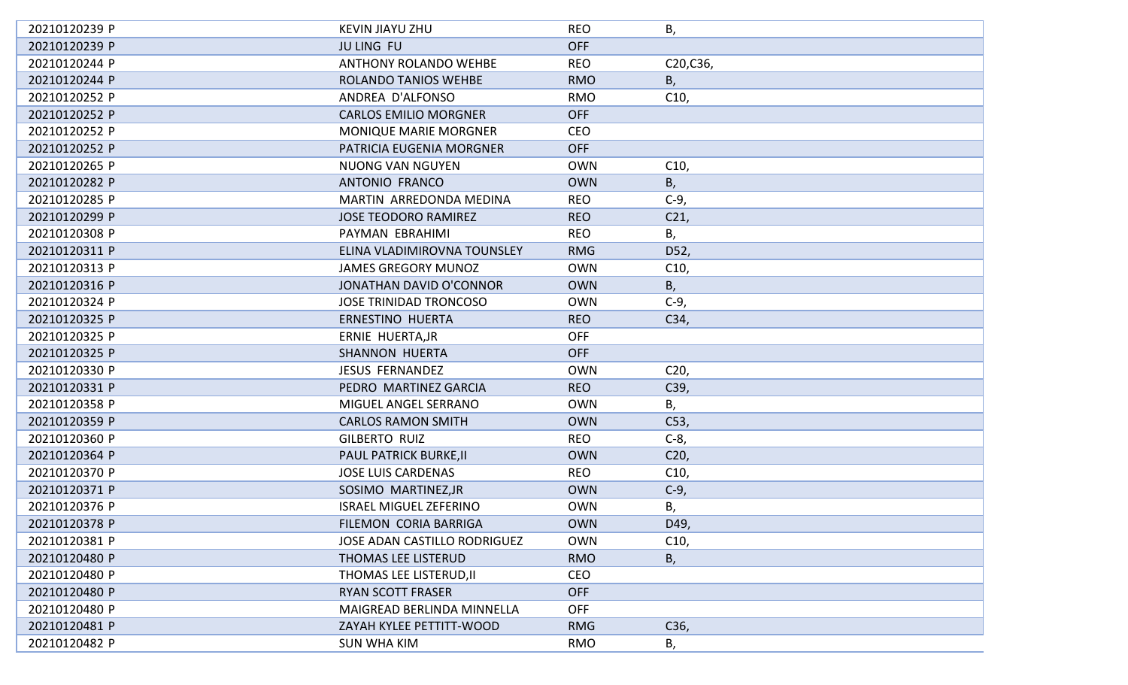| 20210120239 P | <b>KEVIN JIAYU ZHU</b>              | <b>REO</b> | В,              |
|---------------|-------------------------------------|------------|-----------------|
| 20210120239 P | <b>JU LING FU</b>                   | <b>OFF</b> |                 |
| 20210120244 P | <b>ANTHONY ROLANDO WEHBE</b>        | <b>REO</b> | C20, C36,       |
| 20210120244 P | ROLANDO TANIOS WEHBE                | <b>RMO</b> | Β,              |
| 20210120252 P | ANDREA D'ALFONSO                    | <b>RMO</b> | C10,            |
| 20210120252 P | <b>CARLOS EMILIO MORGNER</b>        | <b>OFF</b> |                 |
| 20210120252 P | <b>MONIQUE MARIE MORGNER</b>        | <b>CEO</b> |                 |
| 20210120252 P | PATRICIA EUGENIA MORGNER            | <b>OFF</b> |                 |
| 20210120265 P | <b>NUONG VAN NGUYEN</b>             | <b>OWN</b> | C10,            |
| 20210120282 P | ANTONIO FRANCO                      | <b>OWN</b> | В,              |
| 20210120285 P | MARTIN ARREDONDA MEDINA             | <b>REO</b> | $C-9$           |
| 20210120299 P | <b>JOSE TEODORO RAMIREZ</b>         | <b>REO</b> | C21,            |
| 20210120308 P | PAYMAN EBRAHIMI                     | <b>REO</b> | В,              |
| 20210120311 P | ELINA VLADIMIROVNA TOUNSLEY         | <b>RMG</b> | D52,            |
| 20210120313 P | <b>JAMES GREGORY MUNOZ</b>          | <b>OWN</b> | C10,            |
| 20210120316 P | <b>JONATHAN DAVID O'CONNOR</b>      | <b>OWN</b> | В,              |
| 20210120324 P | <b>JOSE TRINIDAD TRONCOSO</b>       | <b>OWN</b> | $C-9$ ,         |
| 20210120325 P | ERNESTINO HUERTA                    | <b>REO</b> | C34,            |
| 20210120325 P | ERNIE HUERTA, JR                    | <b>OFF</b> |                 |
| 20210120325 P | <b>SHANNON HUERTA</b>               | <b>OFF</b> |                 |
| 20210120330 P | <b>JESUS FERNANDEZ</b>              | <b>OWN</b> | C <sub>20</sub> |
| 20210120331 P | PEDRO MARTINEZ GARCIA               | <b>REO</b> | C39,            |
| 20210120358 P | MIGUEL ANGEL SERRANO                | <b>OWN</b> | В,              |
| 20210120359 P | <b>CARLOS RAMON SMITH</b>           | <b>OWN</b> | C <sub>53</sub> |
| 20210120360 P | <b>GILBERTO RUIZ</b>                | <b>REO</b> | $C-8$           |
| 20210120364 P | PAUL PATRICK BURKE, II              | <b>OWN</b> | C <sub>20</sub> |
| 20210120370 P | <b>JOSE LUIS CARDENAS</b>           | <b>REO</b> | C10,            |
| 20210120371 P | SOSIMO MARTINEZ, JR                 | <b>OWN</b> | $C-9$ ,         |
| 20210120376 P | <b>ISRAEL MIGUEL ZEFERINO</b>       | <b>OWN</b> | В,              |
| 20210120378 P | FILEMON CORIA BARRIGA               | <b>OWN</b> | D49,            |
| 20210120381 P | <b>JOSE ADAN CASTILLO RODRIGUEZ</b> | <b>OWN</b> | C10,            |
| 20210120480 P | THOMAS LEE LISTERUD                 | <b>RMO</b> | В,              |
| 20210120480 P | THOMAS LEE LISTERUD, II             | <b>CEO</b> |                 |
| 20210120480 P | <b>RYAN SCOTT FRASER</b>            | <b>OFF</b> |                 |
| 20210120480 P | MAIGREAD BERLINDA MINNELLA          | <b>OFF</b> |                 |
| 20210120481 P | ZAYAH KYLEE PETTITT-WOOD            | <b>RMG</b> | C36,            |
| 20210120482 P | <b>SUN WHA KIM</b>                  | <b>RMO</b> | Β,              |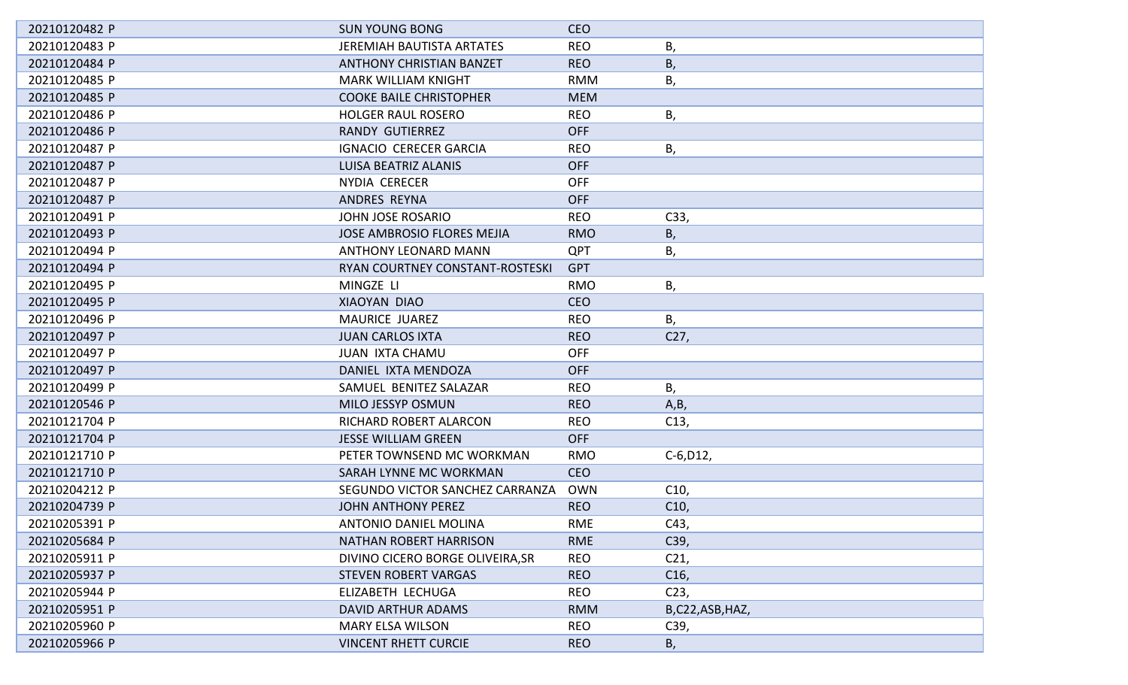| 20210120482 P | <b>SUN YOUNG BONG</b>             | <b>CEO</b> |                 |
|---------------|-----------------------------------|------------|-----------------|
| 20210120483 P | <b>JEREMIAH BAUTISTA ARTATES</b>  | <b>REO</b> | В,              |
| 20210120484 P | <b>ANTHONY CHRISTIAN BANZET</b>   | <b>REO</b> | Β,              |
| 20210120485 P | <b>MARK WILLIAM KNIGHT</b>        | <b>RMM</b> | В,              |
| 20210120485 P | <b>COOKE BAILE CHRISTOPHER</b>    | <b>MEM</b> |                 |
| 20210120486 P | <b>HOLGER RAUL ROSERO</b>         | <b>REO</b> | В,              |
| 20210120486 P | <b>RANDY GUTIERREZ</b>            | <b>OFF</b> |                 |
| 20210120487 P | <b>IGNACIO CERECER GARCIA</b>     | <b>REO</b> | В,              |
| 20210120487 P | <b>LUISA BEATRIZ ALANIS</b>       | <b>OFF</b> |                 |
| 20210120487 P | NYDIA CERECER                     | <b>OFF</b> |                 |
| 20210120487 P | ANDRES REYNA                      | <b>OFF</b> |                 |
| 20210120491 P | JOHN JOSE ROSARIO                 | <b>REO</b> | C33,            |
| 20210120493 P | <b>JOSE AMBROSIO FLORES MEJIA</b> | <b>RMO</b> | В,              |
| 20210120494 P | <b>ANTHONY LEONARD MANN</b>       | <b>QPT</b> | В,              |
| 20210120494 P | RYAN COURTNEY CONSTANT-ROSTESKI   | <b>GPT</b> |                 |
| 20210120495 P | MINGZE LI                         | <b>RMO</b> | В,              |
| 20210120495 P | XIAOYAN DIAO                      | <b>CEO</b> |                 |
| 20210120496 P | MAURICE JUAREZ                    | <b>REO</b> | В,              |
| 20210120497 P | <b>JUAN CARLOS IXTA</b>           | <b>REO</b> | C <sub>27</sub> |
| 20210120497 P | <b>JUAN IXTA CHAMU</b>            | <b>OFF</b> |                 |
| 20210120497 P | DANIEL IXTA MENDOZA               | <b>OFF</b> |                 |
| 20210120499 P | SAMUEL BENITEZ SALAZAR            | <b>REO</b> | Β,              |
| 20210120546 P | MILO JESSYP OSMUN                 | <b>REO</b> | A,B,            |
| 20210121704 P | RICHARD ROBERT ALARCON            | <b>REO</b> | C13,            |
| 20210121704 P | <b>JESSE WILLIAM GREEN</b>        | <b>OFF</b> |                 |
| 20210121710 P | PETER TOWNSEND MC WORKMAN         | <b>RMO</b> | $C-6, D12,$     |
| 20210121710 P | SARAH LYNNE MC WORKMAN            | <b>CEO</b> |                 |
| 20210204212 P | SEGUNDO VICTOR SANCHEZ CARRANZA   | <b>OWN</b> | C10,            |
| 20210204739 P | <b>JOHN ANTHONY PEREZ</b>         | <b>REO</b> | C10,            |
| 20210205391 P | ANTONIO DANIEL MOLINA             | <b>RME</b> | C43,            |
| 20210205684 P | <b>NATHAN ROBERT HARRISON</b>     | <b>RME</b> | C39,            |
| 20210205911 P | DIVINO CICERO BORGE OLIVEIRA, SR  | <b>REO</b> | C <sub>21</sub> |
| 20210205937 P | <b>STEVEN ROBERT VARGAS</b>       | <b>REO</b> | C16,            |
| 20210205944 P | ELIZABETH LECHUGA                 | <b>REO</b> | C <sub>23</sub> |
| 20210205951 P | <b>DAVID ARTHUR ADAMS</b>         | <b>RMM</b> | B,C22,ASB,HAZ,  |
| 20210205960 P | <b>MARY ELSA WILSON</b>           | <b>REO</b> | C39,            |
| 20210205966 P | <b>VINCENT RHETT CURCIE</b>       | <b>REO</b> | В,              |